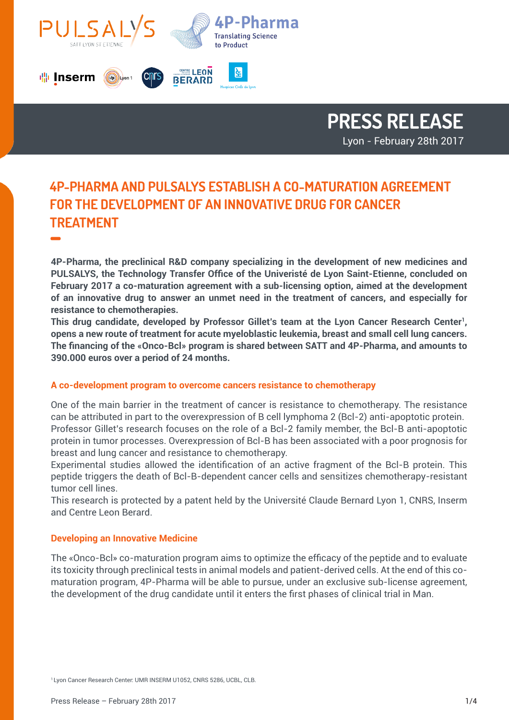

## **PRESS RELEASE** Lyon - February 28th 2017

# **4P-PHARMA AND PULSALYS ESTABLISH A CO-MATURATION AGREEMENT FOR THE DEVELOPMENT OF AN INNOVATIVE DRUG FOR CANCER TREATMENT -**

**4P-Pharma, the preclinical R&D company specializing in the development of new medicines and PULSALYS, the Technology Transfer Office of the Univeristé de Lyon Saint-Etienne, concluded on February 2017 a co-maturation agreement with a sub-licensing option, aimed at the development of an innovative drug to answer an unmet need in the treatment of cancers, and especially for resistance to chemotherapies.**

**This drug candidate, developed by Professor Gillet's team at the Lyon Cancer Research Center1, opens a new route of treatment for acute myeloblastic leukemia, breast and small cell lung cancers. The financing of the «Onco-Bcl» program is shared between SATT and 4P-Pharma, and amounts to 390.000 euros over a period of 24 months.** 

### **A co-development program to overcome cancers resistance to chemotherapy**

One of the main barrier in the treatment of cancer is resistance to chemotherapy. The resistance can be attributed in part to the overexpression of B cell lymphoma 2 (Bcl-2) anti-apoptotic protein. Professor Gillet's research focuses on the role of a Bcl-2 family member, the Bcl-B anti-apoptotic protein in tumor processes. Overexpression of Bcl-B has been associated with a poor prognosis for breast and lung cancer and resistance to chemotherapy.

Experimental studies allowed the identification of an active fragment of the Bcl-B protein. This peptide triggers the death of Bcl-B-dependent cancer cells and sensitizes chemotherapy-resistant tumor cell lines.

This research is protected by a patent held by the Université Claude Bernard Lyon 1, CNRS, Inserm and Centre Leon Berard.

### **Developing an Innovative Medicine**

The «Onco-Bcl» co-maturation program aims to optimize the efficacy of the peptide and to evaluate its toxicity through preclinical tests in animal models and patient-derived cells. At the end of this comaturation program, 4P-Pharma will be able to pursue, under an exclusive sub-license agreement, the development of the drug candidate until it enters the first phases of clinical trial in Man.

<sup>1</sup> Lyon Cancer Research Center: UMR INSERM U1052, CNRS 5286, UCBL, CLB.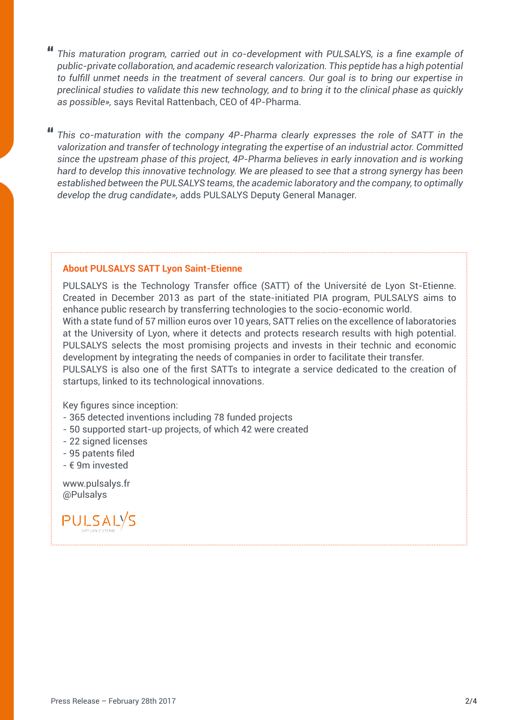**"** *This maturation program, carried out in co-development with PULSALYS, is a fine example of public-private collaboration, and academic research valorization. This peptide has a high potential to fulfill unmet needs in the treatment of several cancers. Our goal is to bring our expertise in preclinical studies to validate this new technology, and to bring it to the clinical phase as quickly as possible»,* says Revital Rattenbach, CEO of 4P-Pharma.

**"** *This co-maturation with the company 4P-Pharma clearly expresses the role of SATT in the valorization and transfer of technology integrating the expertise of an industrial actor. Committed since the upstream phase of this project, 4P-Pharma believes in early innovation and is working hard to develop this innovative technology. We are pleased to see that a strong synergy has been established between the PULSALYS teams, the academic laboratory and the company, to optimally develop the drug candidate»,* adds PULSALYS Deputy General Manager.

#### **About PULSALYS SATT Lyon Saint-Etienne**

PULSALYS is the Technology Transfer office (SATT) of the Université de Lyon St-Etienne. Created in December 2013 as part of the state-initiated PIA program, PULSALYS aims to enhance public research by transferring technologies to the socio-economic world. With a state fund of 57 million euros over 10 years, SATT relies on the excellence of laboratories at the University of Lyon, where it detects and protects research results with high potential. PULSALYS selects the most promising projects and invests in their technic and economic development by integrating the needs of companies in order to facilitate their transfer. PULSALYS is also one of the first SATTs to integrate a service dedicated to the creation of startups, linked to its technological innovations.

Key figures since inception:

- 365 detected inventions including 78 funded projects
- 50 supported start-up projects, of which 42 were created
- 22 signed licenses
- 95 patents filed
- € 9m invested

www.pulsalys.fr @Pulsalys

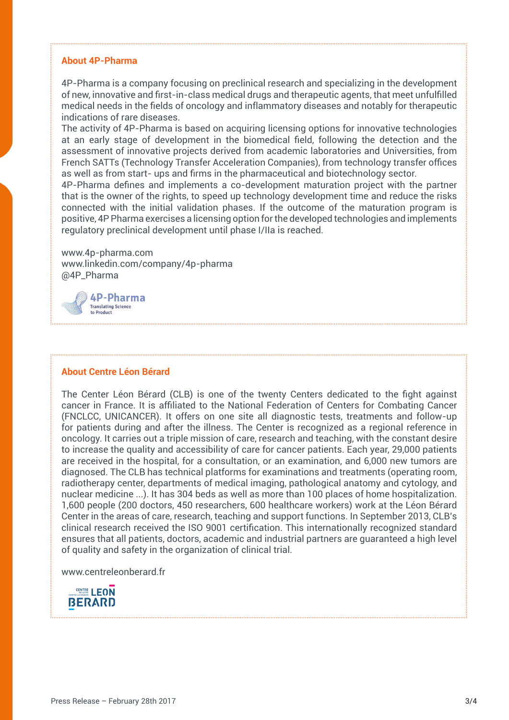#### **About 4P-Pharma**

4P-Pharma is a company focusing on preclinical research and specializing in the development of new, innovative and first-in-class medical drugs and therapeutic agents, that meet unfulfilled medical needs in the fields of oncology and inflammatory diseases and notably for therapeutic indications of rare diseases.

The activity of 4P-Pharma is based on acquiring licensing options for innovative technologies at an early stage of development in the biomedical field, following the detection and the assessment of innovative projects derived from academic laboratories and Universities, from French SATTs (Technology Transfer Acceleration Companies), from technology transfer offices as well as from start- ups and firms in the pharmaceutical and biotechnology sector.

4P-Pharma defines and implements a co-development maturation project with the partner that is the owner of the rights, to speed up technology development time and reduce the risks connected with the initial validation phases. If the outcome of the maturation program is positive, 4P Pharma exercises a licensing option for the developed technologies and implements regulatory preclinical development until phase I/IIa is reached.

www.4p-pharma.com www.linkedin.com/company/4p-pharma @4P\_Pharma



#### **About Centre Léon Bérard**

The Center Léon Bérard (CLB) is one of the twenty Centers dedicated to the fight against cancer in France. It is affiliated to the National Federation of Centers for Combating Cancer (FNCLCC, UNICANCER). It offers on one site all diagnostic tests, treatments and follow-up for patients during and after the illness. The Center is recognized as a regional reference in oncology. It carries out a triple mission of care, research and teaching, with the constant desire to increase the quality and accessibility of care for cancer patients. Each year, 29,000 patients are received in the hospital, for a consultation, or an examination, and 6,000 new tumors are diagnosed. The CLB has technical platforms for examinations and treatments (operating room, radiotherapy center, departments of medical imaging, pathological anatomy and cytology, and nuclear medicine ...). It has 304 beds as well as more than 100 places of home hospitalization. 1,600 people (200 doctors, 450 researchers, 600 healthcare workers) work at the Léon Bérard Center in the areas of care, research, teaching and support functions. In September 2013, CLB's clinical research received the ISO 9001 certification. This internationally recognized standard ensures that all patients, doctors, academic and industrial partners are guaranteed a high level of quality and safety in the organization of clinical trial.

www.centreleonberard.fr